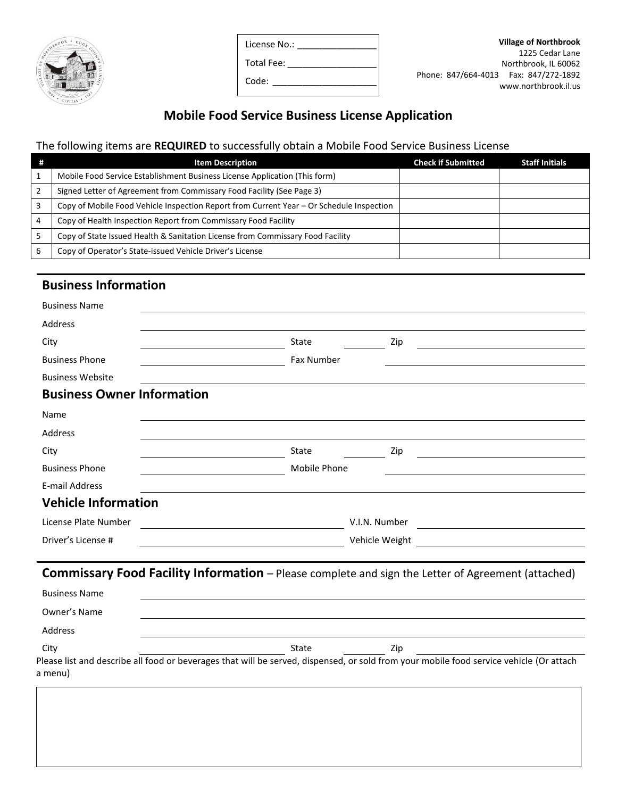

| License No.: |  |
|--------------|--|
| Total Fee:   |  |
| Code:        |  |

## **Mobile Food Service Business License Application**

# The following items are **REQUIRED** to successfully obtain a Mobile Food Service Business License

| - # | <b>Item Description</b>                                                                  | <b>Check if Submitted</b> | <b>Staff Initials</b> |
|-----|------------------------------------------------------------------------------------------|---------------------------|-----------------------|
|     | Mobile Food Service Establishment Business License Application (This form)               |                           |                       |
|     | Signed Letter of Agreement from Commissary Food Facility (See Page 3)                    |                           |                       |
| 3   | Copy of Mobile Food Vehicle Inspection Report from Current Year – Or Schedule Inspection |                           |                       |
| 4   | Copy of Health Inspection Report from Commissary Food Facility                           |                           |                       |
|     | Copy of State Issued Health & Sanitation License from Commissary Food Facility           |                           |                       |
| 6   | Copy of Operator's State-issued Vehicle Driver's License                                 |                           |                       |

### **Business Information**

| <b>Business Name</b>                                                                               |              |                |     |
|----------------------------------------------------------------------------------------------------|--------------|----------------|-----|
| Address                                                                                            |              |                |     |
| City                                                                                               | State        |                | Zip |
| <b>Business Phone</b>                                                                              | Fax Number   |                |     |
| <b>Business Website</b>                                                                            |              |                |     |
| <b>Business Owner Information</b>                                                                  |              |                |     |
| Name                                                                                               |              |                |     |
| Address                                                                                            |              |                |     |
| City                                                                                               | State        |                | Zip |
| <b>Business Phone</b>                                                                              | Mobile Phone |                |     |
| E-mail Address                                                                                     |              |                |     |
| <b>Vehicle Information</b>                                                                         |              |                |     |
| License Plate Number                                                                               |              | V.I.N. Number  |     |
| Driver's License #                                                                                 |              | Vehicle Weight |     |
| Commissary Food Facility Information - Please complete and sign the Letter of Agreement (attached) |              |                |     |

| <b>Business Name</b>                                                                                                                    |       |     |  |
|-----------------------------------------------------------------------------------------------------------------------------------------|-------|-----|--|
| Owner's Name                                                                                                                            |       |     |  |
| Address                                                                                                                                 |       |     |  |
| City                                                                                                                                    | State | Zip |  |
| Please list and describe all food or beverages that will be served, dispensed, or sold from your mobile food service vehicle (Or attach |       |     |  |
| a menu)                                                                                                                                 |       |     |  |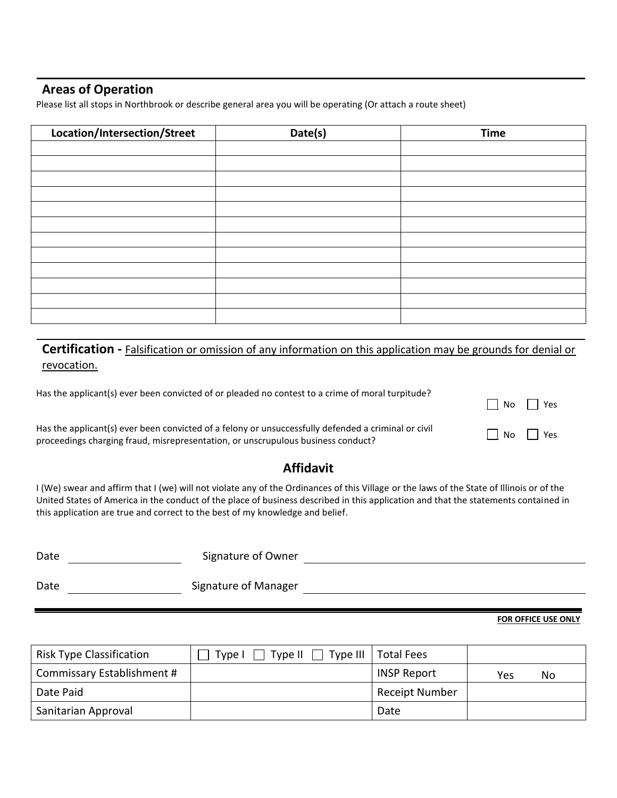#### **Areas of Operation**

Please list all stops in Northbrook or describe general area you will be operating (Or attach a route sheet)

| Location/Intersection/Street | Date(s) | <b>Time</b> |
|------------------------------|---------|-------------|
|                              |         |             |
|                              |         |             |
|                              |         |             |
|                              |         |             |
|                              |         |             |
|                              |         |             |
|                              |         |             |
|                              |         |             |
|                              |         |             |
|                              |         |             |
|                              |         |             |
|                              |         |             |

**Certification -** Falsification or omission of any information on this application may be grounds for denial or revocation.

| Has the applicant(s) ever been convicted of or pleaded no contest to a crime of moral turpitude?                                                                                        | $\Box$ No $\Box$ Yes |  |
|-----------------------------------------------------------------------------------------------------------------------------------------------------------------------------------------|----------------------|--|
| Has the applicant(s) ever been convicted of a felony or unsuccessfully defended a criminal or civil<br>proceedings charging fraud, misrepresentation, or unscrupulous business conduct? | $\Box$ No $\Box$ Yes |  |

### **Affidavit**

I (We) swear and affirm that I (we) will not violate any of the Ordinances of this Village or the laws of the State of Illinois or of the United States of America in the conduct of the place of business described in this application and that the statements contained in this application are true and correct to the best of my knowledge and belief.

| Date | Signature of Owner   |  |
|------|----------------------|--|
| Date | Signature of Manager |  |

#### **FOR OFFICE USE ONLY**

| <b>Risk Type Classification</b> | Type $  $ $  $<br>Type I | Type III   Total Fees |           |  |
|---------------------------------|--------------------------|-----------------------|-----------|--|
| Commissary Establishment #      |                          | <b>INSP Report</b>    | No<br>Yes |  |
| Date Paid                       |                          | <b>Receipt Number</b> |           |  |
| Sanitarian Approval             |                          | Date                  |           |  |